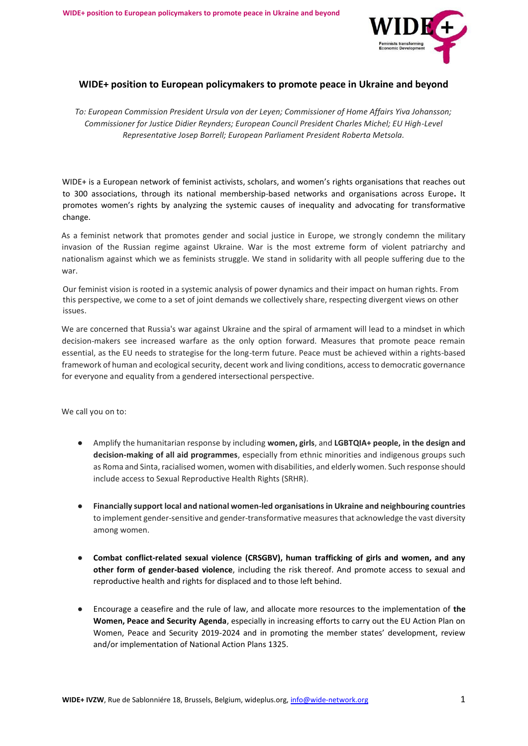

### **WIDE+ position to European policymakers to promote peace in Ukraine and beyond**

*To: European Commission President Ursula von der Leyen; Commissioner of Home Affairs Yiva Johansson; Commissioner for Justice Didier Reynders; European Council President Charles Michel; EU High-Level Representative Josep Borrell; European Parliament President Roberta Metsola.*

WIDE+ is a European network of feminist activists, scholars, and women's rights organisations that reaches out to 300 associations, through its national membership-based networks and organisations across Europe**.** It promotes women's rights by analyzing the systemic causes of inequality and advocating for transformative change.

As a feminist network that promotes gender and social justice in Europe, we strongly condemn the military invasion of the Russian regime against Ukraine. War is the most extreme form of violent patriarchy and nationalism against which we as feminists struggle. We stand in solidarity with all people suffering due to the war.

Our feminist vision is rooted in a systemic analysis of power dynamics and their impact on human rights. From this perspective, we come to a set of joint demands we collectively share, respecting divergent views on other issues.

We are concerned that Russia's war against Ukraine and the spiral of armament will lead to a mindset in which decision-makers see increased warfare as the only option forward. Measures that promote peace remain essential, as the EU needs to strategise for the long-term future. Peace must be achieved within a rights-based framework of human and ecological security, decent work and living conditions, access to democratic governance for everyone and equality from a gendered intersectional perspective.

We call you on to:

- Amplify the humanitarian response by including **women, girls**, and **LGBTQIA+ people, in the design and decision-making of all aid programmes**, especially from ethnic minorities and indigenous groups such as Roma and Sinta, racialised women, women with disabilities, and elderly women. Such response should include access to Sexual Reproductive Health Rights (SRHR).
- **Financially support local and national women-led organisations in Ukraine and neighbouring countries** to implement gender-sensitive and gender-transformative measures that acknowledge the vast diversity among women.
- Combat conflict-related sexual violence (CRSGBV), human trafficking of girls and women, and any **other form of gender-based violence**, including the risk thereof. And promote access to sexual and reproductive health and rights for displaced and to those left behind.
- Encourage a ceasefire and the rule of law, and allocate more resources to the implementation of **the Women, Peace and Security Agenda**, especially in increasing efforts to carry out the EU Action Plan on Women, Peace and Security 2019-2024 and in promoting the member states' development, review and/or implementation of National Action Plans 1325.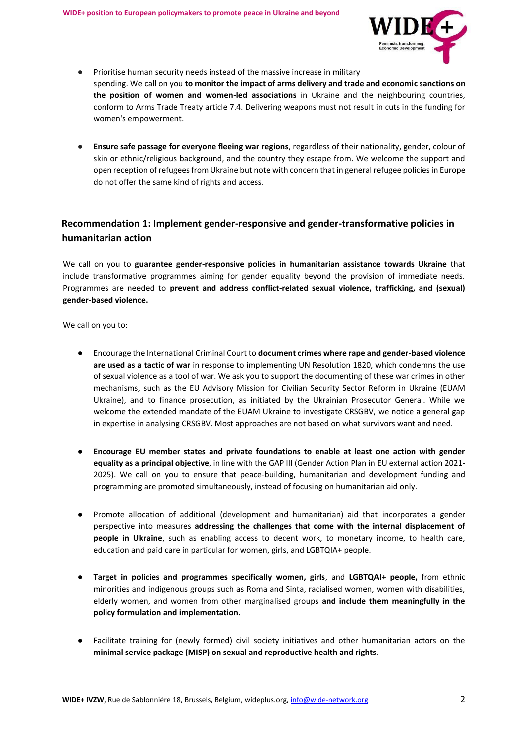

- Prioritise human security needs instead of the massive increase in military spending. We call on you **to monitor the impact of arms delivery and trade and economic sanctions on the position of women and women-led associations** in Ukraine and the neighbouring countries, conform to Arms Trade Treaty article 7.4. Delivering weapons must not result in cuts in the funding for women's empowerment.
- **Ensure safe passage for everyone fleeing war regions**, regardless of their nationality, gender, colour of skin or ethnic/religious background, and the country they escape from. We welcome the support and open reception of refugees from Ukraine but note with concern that in general refugee policies in Europe do not offer the same kind of rights and access.

# **Recommendation 1: Implement gender-responsive and gender-transformative policies in humanitarian action**

We call on you to **guarantee gender-responsive policies in humanitarian assistance towards Ukraine** that include transformative programmes aiming for gender equality beyond the provision of immediate needs. Programmes are needed to **prevent and address conflict-related sexual violence, trafficking, and (sexual) gender-based violence.**

We call on you to:

- Encourage the International Criminal Court to **document crimes where rape and gender-based violence are used as a tactic of war** in response to implementing UN Resolution 1820, which condemns the use of sexual violence as a tool of war. We ask you to support the documenting of these war crimes in other mechanisms, such as the EU Advisory Mission for Civilian Security Sector Reform in Ukraine (EUAM Ukraine), and to finance prosecution, as initiated by the Ukrainian Prosecutor General. While we welcome the extended mandate of the EUAM Ukraine to investigate CRSGBV, we notice a general gap in expertise in analysing CRSGBV. Most approaches are not based on what survivors want and need.
- **Encourage EU member states and private foundations to enable at least one action with gender equality as a principal objective**, in line with the GAP III (Gender Action Plan in EU external action 2021- 2025). We call on you to ensure that peace-building, humanitarian and development funding and programming are promoted simultaneously, instead of focusing on humanitarian aid only.
- Promote allocation of additional (development and humanitarian) aid that incorporates a gender perspective into measures **addressing the challenges that come with the internal displacement of people in Ukraine**, such as enabling access to decent work, to monetary income, to health care, education and paid care in particular for women, girls, and LGBTQIA+ people.
- **Target in policies and programmes specifically women, girls**, and **LGBTQAI+ people,** from ethnic minorities and indigenous groups such as Roma and Sinta, racialised women, women with disabilities, elderly women, and women from other marginalised groups **and include them meaningfully in the policy formulation and implementation.**
- Facilitate training for (newly formed) civil society initiatives and other humanitarian actors on the **minimal service package (MISP) on sexual and reproductive health and rights**.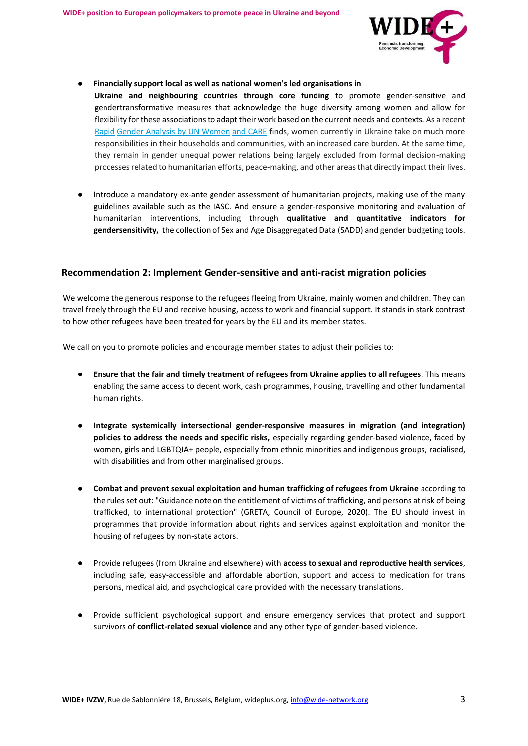

#### ● **Financially support local as well as national women's led organisations in**

- **Ukraine and neighbouring countries through core funding** to promote gender-sensitive and gendertransformative measures that acknowledge the huge diversity among women and allow for flexibility for these associations to adapt their work based on the current needs and contexts. As a recent [Rapid](https://www.unwomen.org/en/digital-library/publications/2022/05/rapid-gender-analysis-of-ukraine) [Gender Analysis by UN Women](https://www.unwomen.org/en/digital-library/publications/2022/05/rapid-gender-analysis-of-ukraine) [and CARE](https://www.unwomen.org/en/digital-library/publications/2022/05/rapid-gender-analysis-of-ukraine) [fin](https://www.unwomen.org/en/digital-library/publications/2022/05/rapid-gender-analysis-of-ukraine)ds, women currently in Ukraine take on much more responsibilities in their households and communities, with an increased care burden. At the same time, they remain in gender unequal power relations being largely excluded from formal decision-making processes related to humanitarian efforts, peace-making, and other areas that directly impact their lives.
- Introduce a mandatory ex-ante gender assessment of humanitarian projects, making use of the many guidelines available such as the IASC. And ensure a gender-responsive monitoring and evaluation of humanitarian interventions, including through **qualitative and quantitative indicators for gendersensitivity,** the collection of Sex and Age Disaggregated Data (SADD) and gender budgeting tools.

### **Recommendation 2: Implement Gender-sensitive and anti-racist migration policies**

We welcome the generous response to the refugees fleeing from Ukraine, mainly women and children. They can travel freely through the EU and receive housing, access to work and financial support. It stands in stark contrast to how other refugees have been treated for years by the EU and its member states.

We call on you to promote policies and encourage member states to adjust their policies to:

- **Ensure that the fair and timely treatment of refugees from Ukraine applies to all refugees**. This means enabling the same access to decent work, cash programmes, housing, travelling and other fundamental human rights.
- **Integrate systemically intersectional gender-responsive measures in migration (and integration) policies to address the needs and specific risks,** especially regarding gender-based violence, faced by women, girls and LGBTQIA+ people, especially from ethnic minorities and indigenous groups, racialised, with disabilities and from other marginalised groups.
- **Combat and prevent sexual exploitation and human trafficking of refugees from Ukraine** according to the rules set out: "Guidance note on the entitlement of victims of trafficking, and persons at risk of being trafficked, to international protection" (GRETA, Council of Europe, 2020). The EU should invest in programmes that provide information about rights and services against exploitation and monitor the housing of refugees by non-state actors.
- Provide refugees (from Ukraine and elsewhere) with **access to sexual and reproductive health services**, including safe, easy-accessible and affordable abortion, support and access to medication for trans persons, medical aid, and psychological care provided with the necessary translations.
- Provide sufficient psychological support and ensure emergency services that protect and support survivors of **conflict-related sexual violence** and any other type of gender-based violence.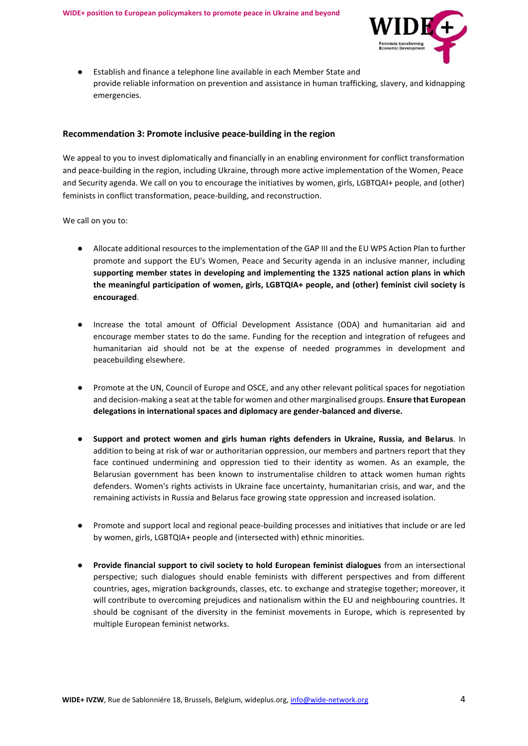

● Establish and finance a telephone line available in each Member State and provide reliable information on prevention and assistance in human trafficking, slavery, and kidnapping emergencies.

#### **Recommendation 3: Promote inclusive peace-building in the region**

We appeal to you to invest diplomatically and financially in an enabling environment for conflict transformation and peace-building in the region, including Ukraine, through more active implementation of the Women, Peace and Security agenda. We call on you to encourage the initiatives by women, girls, LGBTQAI+ people, and (other) feminists in conflict transformation, peace-building, and reconstruction.

We call on you to:

- Allocate additional resources to the implementation of the GAP III and the EU WPS Action Plan to further promote and support the EU's Women, Peace and Security agenda in an inclusive manner, including **supporting member states in developing and implementing the 1325 national action plans in which the meaningful participation of women, girls, LGBTQIA+ people, and (other) feminist civil society is encouraged**.
- Increase the total amount of Official Development Assistance (ODA) and humanitarian aid and encourage member states to do the same. Funding for the reception and integration of refugees and humanitarian aid should not be at the expense of needed programmes in development and peacebuilding elsewhere.
- Promote at the UN, Council of Europe and OSCE, and any other relevant political spaces for negotiation and decision-making a seat at the table for women and other marginalised groups. **Ensure that European delegations in international spaces and diplomacy are gender-balanced and diverse.**
- **Support and protect women and girls human rights defenders in Ukraine, Russia, and Belarus**. In addition to being at risk of war or authoritarian oppression, our members and partners report that they face continued undermining and oppression tied to their identity as women. As an example, the Belarusian government has been known to instrumentalise children to attack women human rights defenders. Women's rights activists in Ukraine face uncertainty, humanitarian crisis, and war, and the remaining activists in Russia and Belarus face growing state oppression and increased isolation.
- Promote and support local and regional peace-building processes and initiatives that include or are led by women, girls, LGBTQIA+ people and (intersected with) ethnic minorities.
- **Provide financial support to civil society to hold European feminist dialogues** from an intersectional perspective; such dialogues should enable feminists with different perspectives and from different countries, ages, migration backgrounds, classes, etc. to exchange and strategise together; moreover, it will contribute to overcoming prejudices and nationalism within the EU and neighbouring countries. It should be cognisant of the diversity in the feminist movements in Europe, which is represented by multiple European feminist networks.